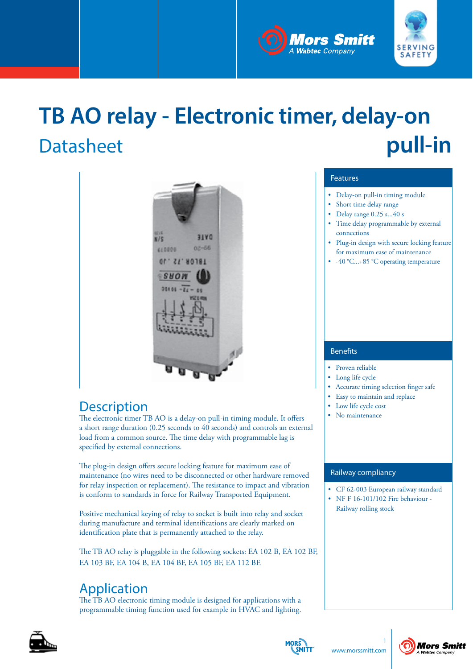



## **TB AO relay - Electronic timer, delay-on Datasheet pull-in**



### **Description**

The electronic timer TB AO is a delay-on pull-in timing module. It offers a short range duration (0.25 seconds to 40 seconds) and controls an external load from a common source. The time delay with programmable lag is specified by external connections.

The plug-in design offers secure locking feature for maximum ease of maintenance (no wires need to be disconnected or other hardware removed for relay inspection or replacement). The resistance to impact and vibration is conform to standards in force for Railway Transported Equipment.

Positive mechanical keying of relay to socket is built into relay and socket during manufacture and terminal identifications are clearly marked on identification plate that is permanently attached to the relay.

The TB AO relay is pluggable in the following sockets: EA 102 B, EA 102 BF, EA 103 BF, EA 104 B, EA 104 BF, EA 105 BF, EA 112 BF.

### Application

The TB AO electronic timing module is designed for applications with a programmable timing function used for example in HVAC and lighting.

### Features

- Delay-on pull-in timing module
- Short time delay range
- Delay range 0.25 s...40 s
- Time delay programmable by external connections
- Plug-in design with secure locking feature for maximum ease of maintenance
- -40 °C...+85 °C operating temperature

### Benefits

- Proven reliable
- Long life cycle
- Accurate timing selection finger safe
- Easy to maintain and replace
- Low life cycle cost
- No maintenance

### Railway compliancy

- CF 62-003 European railway standard
- NF F 16-101/102 Fire behaviour Railway rolling stock



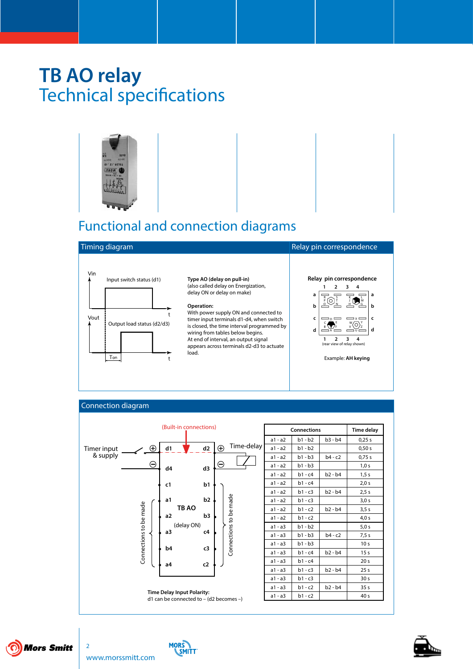

### Functional and connection diagrams



**Type AO (delay on pull-in)** (also called delay on Energization, delay ON or delay on make)

#### **Operation:**

With power supply ON and connected to timer input terminals d1-d4, when switch is closed, the time interval programmed by wiring from tables below begins. At end of interval, an output signal appears across terminals d2-d3 to actuate load.



#### Connection diagram





**MORS** 

**SMITT** 

 $\overline{2}$ 

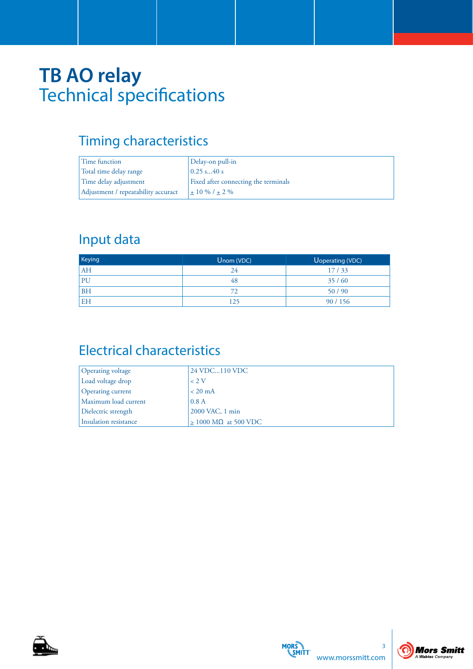### Timing characteristics

| Time function                       | Delay-on pull-in                     |
|-------------------------------------|--------------------------------------|
| Total time delay range              | $0.25$ s40 s                         |
| Time delay adjustment               | Fixed after connecting the terminals |
| Adjustment / repeatability accuract | $+10\%$ / $+2\%$                     |

### Input data

| Keying    | Unom (VDC) | Uoperating (VDC) |
|-----------|------------|------------------|
| AH        | 24         | 17/33            |
| PU        | 48         | 35/60            |
| <b>BH</b> |            | 50/90            |
| <b>EH</b> | 125        | 90/156           |

## Electrical characteristics

| Operating voltage        | 24 VDC110 VDC                  |
|--------------------------|--------------------------------|
| Load voltage drop        | $\leq$ 2. V                    |
| <b>Operating current</b> | $< 20$ mA                      |
| Maximum load current     | 0.8A                           |
| Dielectric strength      | 2000 VAC, 1 min                |
| Insulation resistance    | $> 1000$ M $\Omega$ at 500 VDC |





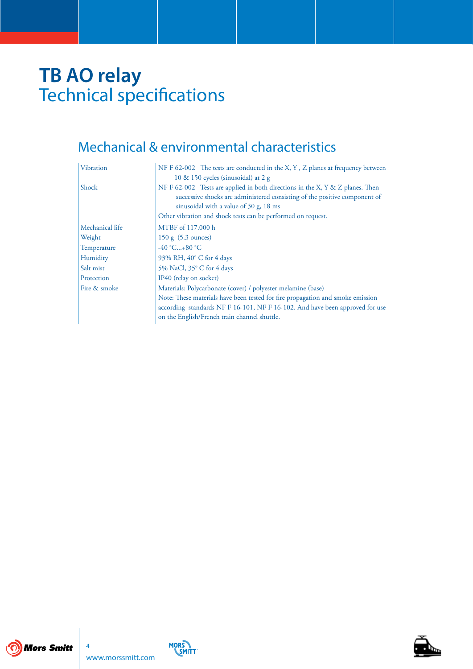### Mechanical & environmental characteristics

| Vibration       | NF F 62-002 The tests are conducted in the X, Y, Z planes at frequency between |
|-----------------|--------------------------------------------------------------------------------|
|                 | 10 & 150 cycles (sinusoidal) at 2 g                                            |
| Shock           | NF F 62-002 Tests are applied in both directions in the X, Y & Z planes. Then  |
|                 | successive shocks are administered consisting of the positive component of     |
|                 | sinusoidal with a value of 30 g, 18 ms                                         |
|                 | Other vibration and shock tests can be performed on request.                   |
| Mechanical life | MTBF of 117.000 h                                                              |
| Weight          | $150 \text{ g}$ (5.3 ounces)                                                   |
| Temperature     | $-40 °C+80 °C$                                                                 |
| Humidity        | 93% RH, 40° C for 4 days                                                       |
| Salt mist       | 5% NaCl, 35° C for 4 days                                                      |
| Protection      | IP40 (relay on socket)                                                         |
| Fire & smoke    | Materials: Polycarbonate (cover) / polyester melamine (base)                   |
|                 | Note: These materials have been tested for fire propagation and smoke emission |
|                 | according standards NF F 16-101, NF F 16-102. And have been approved for use   |
|                 | on the English/French train channel shuttle.                                   |





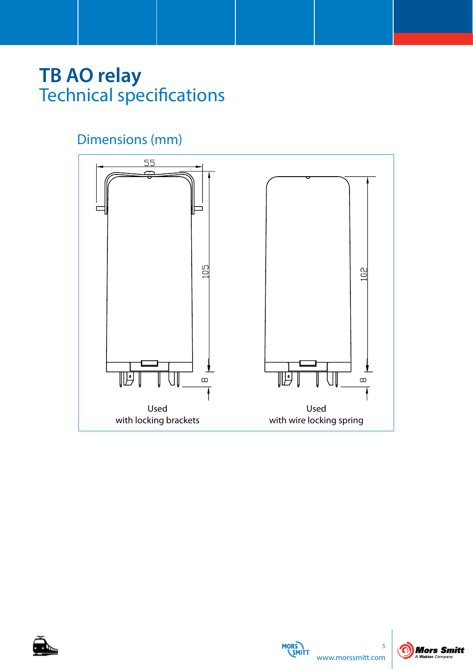## Dimensions (mm)







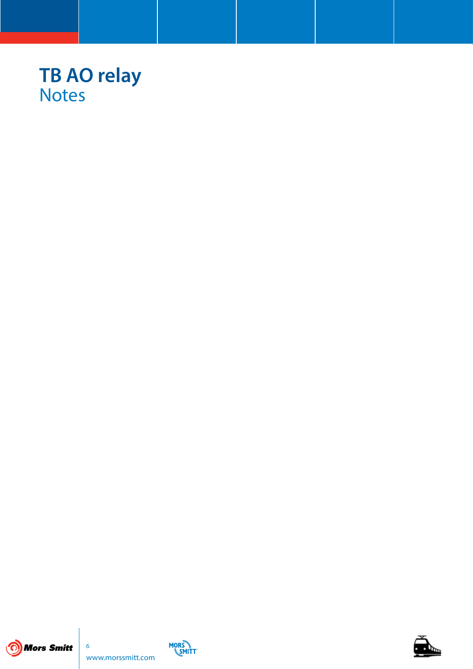## **TB AO relay** Notes





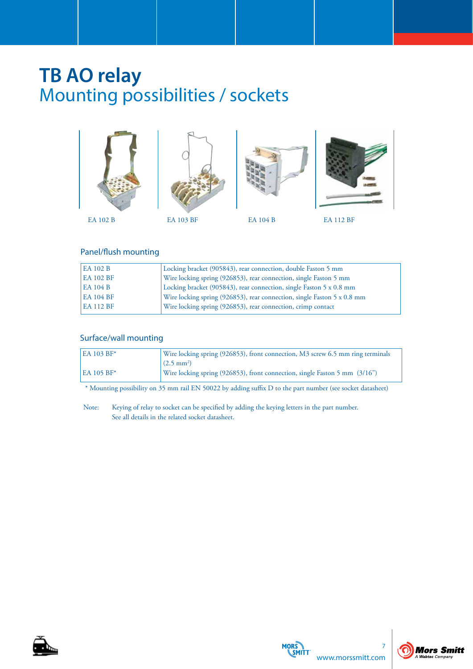## **TB AO relay** Mounting possibilities / sockets



### Panel/flush mounting

| <b>EA 102 B</b>  | Locking bracket (905843), rear connection, double Faston 5 mm           |
|------------------|-------------------------------------------------------------------------|
| <b>EA 102 BF</b> | Wire locking spring (926853), rear connection, single Faston 5 mm       |
| <b>EA 104 B</b>  | Locking bracket (905843), rear connection, single Faston 5 x 0.8 mm     |
| <b>EA 104 BF</b> | Wire locking spring (926853), rear connection, single Faston 5 x 0.8 mm |
| <b>EA 112 BF</b> | Wire locking spring (926853), rear connection, crimp contact            |

### Surface/wall mounting

| <b>EA 103 BF*</b> | Wire locking spring (926853), front connection, M3 screw 6.5 mm ring terminals |
|-------------------|--------------------------------------------------------------------------------|
|                   | $(2.5 \text{ mm}^2)$                                                           |
| <b>EA 105 BF*</b> | Wire locking spring (926853), front connection, single Faston 5 mm (3/16")     |

\* Mounting possibility on 35 mm rail EN 50022 by adding suffix D to the part number (see socket datasheet)

Note: Keying of relay to socket can be specified by adding the keying letters in the part number. See all details in the related socket datasheet.





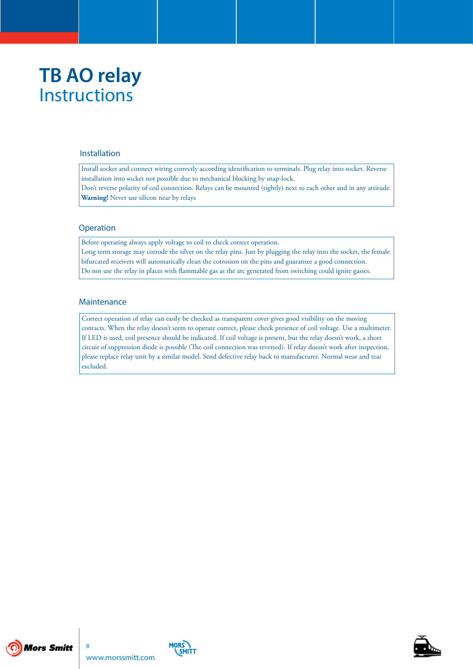## **TB AO relay Instructions**

#### Installation

Install socket and connect wiring correctly according identification to terminals. Plug relay into socket. Reverse installation into socket not possible due to mechanical blocking by snap-lock. Don't reverse polarity of coil connection. Relays can be mounted (tightly) next to each other and in any attitude. **Warning!** Never use silicon near by relays

#### **Operation**

Before operating always apply voltage to coil to check correct operation.

Long term storage may corrode the silver on the relay pins. Just by plugging the relay into the socket, the female bifurcated receivers will automatically clean the corrosion on the pins and guarantee a good connection. Do not use the relay in places with flammable gas as the arc generated from switching could ignite gasses.

#### **Maintenance**

Correct operation of relay can easily be checked as transparent cover gives good visibility on the moving contacts. When the relay doesn't seem to operate correct, please check presence of coil voltage. Use a multimeter. If LED is used, coil presence should be indicated. If coil voltage is present, but the relay doesn't work, a short circuit of suppression diode is possible (The coil connection was reversed). If relay doesn't work after inspection, please replace relay unit by a similar model. Send defective relay back to manufacturer. Normal wear and tear excluded.





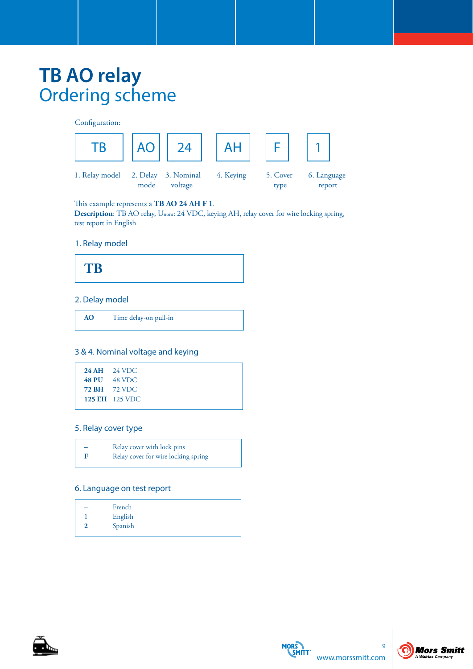## **TB AO relay** Ordering scheme

Configuration:  $\overline{AB}$  ||AO|| 24 || AH || F || 1 1. Relay model 2. Delay 3. Nominal 4. Keying 5. Cover 6. Language mode voltage type report AO

This example represents a **TB AO 24 AH F 1**.

**Description**: TB AO relay, Unom: 24 VDC, keying AH, relay cover for wire locking spring, test report in English

### 1. Relay model



### 2. Delay model

**AO** Time delay-on pull-in

#### 3 & 4. Nominal voltage and keying

| $24 \text{ AH}$ 24 VDC |
|------------------------|
| 48 PU 48 VDC           |
| <b>72 BH</b> 72 VDC    |
| <b>125 EH</b> 125 VDC  |
|                        |

#### 5. Relay cover type

| - | Relay cover with lock pins          |  |
|---|-------------------------------------|--|
| F | Relay cover for wire locking spring |  |

#### 6. Language on test report

| French  |  |
|---------|--|
| English |  |
| Spanish |  |
|         |  |